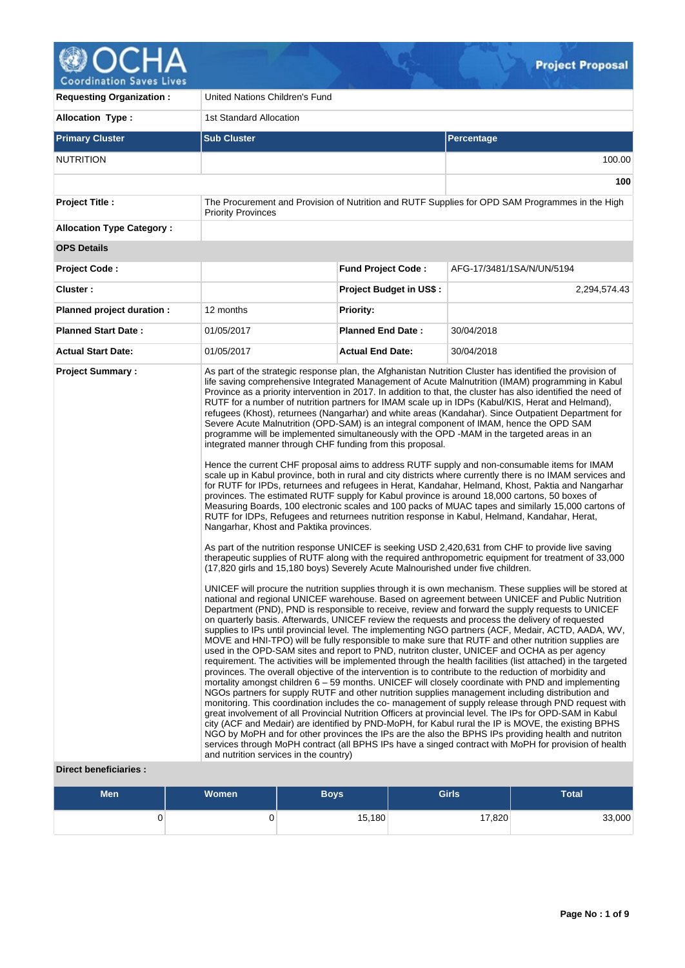

| <b>Requesting Organization:</b>  | United Nations Children's Fund                                                                                                                                                                                                    |                                |                                                                                                                                                                                                                                                                                                                                                                                                                                                                                                                                                                                                                                                                                                                                                                                                                                                                                                                                                                                                                                                                                                                                                                                                                                                                                                                                                                                                                                                                                                                                                                                                                                                                                                                                                                                                                                                                                                                                                                                                                                                                                                                                                                                                                                                                                                                                                                                                                                                                                                                                                                                                                                                                                                                                                                                                                                                                                                                                                                                                                                                                                                                                                                                                                                                                                                      |  |  |  |  |
|----------------------------------|-----------------------------------------------------------------------------------------------------------------------------------------------------------------------------------------------------------------------------------|--------------------------------|------------------------------------------------------------------------------------------------------------------------------------------------------------------------------------------------------------------------------------------------------------------------------------------------------------------------------------------------------------------------------------------------------------------------------------------------------------------------------------------------------------------------------------------------------------------------------------------------------------------------------------------------------------------------------------------------------------------------------------------------------------------------------------------------------------------------------------------------------------------------------------------------------------------------------------------------------------------------------------------------------------------------------------------------------------------------------------------------------------------------------------------------------------------------------------------------------------------------------------------------------------------------------------------------------------------------------------------------------------------------------------------------------------------------------------------------------------------------------------------------------------------------------------------------------------------------------------------------------------------------------------------------------------------------------------------------------------------------------------------------------------------------------------------------------------------------------------------------------------------------------------------------------------------------------------------------------------------------------------------------------------------------------------------------------------------------------------------------------------------------------------------------------------------------------------------------------------------------------------------------------------------------------------------------------------------------------------------------------------------------------------------------------------------------------------------------------------------------------------------------------------------------------------------------------------------------------------------------------------------------------------------------------------------------------------------------------------------------------------------------------------------------------------------------------------------------------------------------------------------------------------------------------------------------------------------------------------------------------------------------------------------------------------------------------------------------------------------------------------------------------------------------------------------------------------------------------------------------------------------------------------------------------------------------------|--|--|--|--|
| <b>Allocation Type:</b>          | 1st Standard Allocation                                                                                                                                                                                                           |                                |                                                                                                                                                                                                                                                                                                                                                                                                                                                                                                                                                                                                                                                                                                                                                                                                                                                                                                                                                                                                                                                                                                                                                                                                                                                                                                                                                                                                                                                                                                                                                                                                                                                                                                                                                                                                                                                                                                                                                                                                                                                                                                                                                                                                                                                                                                                                                                                                                                                                                                                                                                                                                                                                                                                                                                                                                                                                                                                                                                                                                                                                                                                                                                                                                                                                                                      |  |  |  |  |
| <b>Primary Cluster</b>           | <b>Sub Cluster</b>                                                                                                                                                                                                                | Percentage                     |                                                                                                                                                                                                                                                                                                                                                                                                                                                                                                                                                                                                                                                                                                                                                                                                                                                                                                                                                                                                                                                                                                                                                                                                                                                                                                                                                                                                                                                                                                                                                                                                                                                                                                                                                                                                                                                                                                                                                                                                                                                                                                                                                                                                                                                                                                                                                                                                                                                                                                                                                                                                                                                                                                                                                                                                                                                                                                                                                                                                                                                                                                                                                                                                                                                                                                      |  |  |  |  |
| <b>NUTRITION</b>                 |                                                                                                                                                                                                                                   |                                | 100.00                                                                                                                                                                                                                                                                                                                                                                                                                                                                                                                                                                                                                                                                                                                                                                                                                                                                                                                                                                                                                                                                                                                                                                                                                                                                                                                                                                                                                                                                                                                                                                                                                                                                                                                                                                                                                                                                                                                                                                                                                                                                                                                                                                                                                                                                                                                                                                                                                                                                                                                                                                                                                                                                                                                                                                                                                                                                                                                                                                                                                                                                                                                                                                                                                                                                                               |  |  |  |  |
|                                  |                                                                                                                                                                                                                                   |                                | 100                                                                                                                                                                                                                                                                                                                                                                                                                                                                                                                                                                                                                                                                                                                                                                                                                                                                                                                                                                                                                                                                                                                                                                                                                                                                                                                                                                                                                                                                                                                                                                                                                                                                                                                                                                                                                                                                                                                                                                                                                                                                                                                                                                                                                                                                                                                                                                                                                                                                                                                                                                                                                                                                                                                                                                                                                                                                                                                                                                                                                                                                                                                                                                                                                                                                                                  |  |  |  |  |
| Project Title :                  | <b>Priority Provinces</b>                                                                                                                                                                                                         |                                | The Procurement and Provision of Nutrition and RUTF Supplies for OPD SAM Programmes in the High                                                                                                                                                                                                                                                                                                                                                                                                                                                                                                                                                                                                                                                                                                                                                                                                                                                                                                                                                                                                                                                                                                                                                                                                                                                                                                                                                                                                                                                                                                                                                                                                                                                                                                                                                                                                                                                                                                                                                                                                                                                                                                                                                                                                                                                                                                                                                                                                                                                                                                                                                                                                                                                                                                                                                                                                                                                                                                                                                                                                                                                                                                                                                                                                      |  |  |  |  |
| <b>Allocation Type Category:</b> |                                                                                                                                                                                                                                   |                                |                                                                                                                                                                                                                                                                                                                                                                                                                                                                                                                                                                                                                                                                                                                                                                                                                                                                                                                                                                                                                                                                                                                                                                                                                                                                                                                                                                                                                                                                                                                                                                                                                                                                                                                                                                                                                                                                                                                                                                                                                                                                                                                                                                                                                                                                                                                                                                                                                                                                                                                                                                                                                                                                                                                                                                                                                                                                                                                                                                                                                                                                                                                                                                                                                                                                                                      |  |  |  |  |
| <b>OPS Details</b>               |                                                                                                                                                                                                                                   |                                |                                                                                                                                                                                                                                                                                                                                                                                                                                                                                                                                                                                                                                                                                                                                                                                                                                                                                                                                                                                                                                                                                                                                                                                                                                                                                                                                                                                                                                                                                                                                                                                                                                                                                                                                                                                                                                                                                                                                                                                                                                                                                                                                                                                                                                                                                                                                                                                                                                                                                                                                                                                                                                                                                                                                                                                                                                                                                                                                                                                                                                                                                                                                                                                                                                                                                                      |  |  |  |  |
| <b>Project Code:</b>             |                                                                                                                                                                                                                                   | <b>Fund Project Code:</b>      | AFG-17/3481/1SA/N/UN/5194                                                                                                                                                                                                                                                                                                                                                                                                                                                                                                                                                                                                                                                                                                                                                                                                                                                                                                                                                                                                                                                                                                                                                                                                                                                                                                                                                                                                                                                                                                                                                                                                                                                                                                                                                                                                                                                                                                                                                                                                                                                                                                                                                                                                                                                                                                                                                                                                                                                                                                                                                                                                                                                                                                                                                                                                                                                                                                                                                                                                                                                                                                                                                                                                                                                                            |  |  |  |  |
| Cluster:                         |                                                                                                                                                                                                                                   | <b>Project Budget in US\$:</b> | 2,294,574.43                                                                                                                                                                                                                                                                                                                                                                                                                                                                                                                                                                                                                                                                                                                                                                                                                                                                                                                                                                                                                                                                                                                                                                                                                                                                                                                                                                                                                                                                                                                                                                                                                                                                                                                                                                                                                                                                                                                                                                                                                                                                                                                                                                                                                                                                                                                                                                                                                                                                                                                                                                                                                                                                                                                                                                                                                                                                                                                                                                                                                                                                                                                                                                                                                                                                                         |  |  |  |  |
| Planned project duration :       | 12 months                                                                                                                                                                                                                         | <b>Priority:</b>               |                                                                                                                                                                                                                                                                                                                                                                                                                                                                                                                                                                                                                                                                                                                                                                                                                                                                                                                                                                                                                                                                                                                                                                                                                                                                                                                                                                                                                                                                                                                                                                                                                                                                                                                                                                                                                                                                                                                                                                                                                                                                                                                                                                                                                                                                                                                                                                                                                                                                                                                                                                                                                                                                                                                                                                                                                                                                                                                                                                                                                                                                                                                                                                                                                                                                                                      |  |  |  |  |
| <b>Planned Start Date:</b>       | 01/05/2017                                                                                                                                                                                                                        | <b>Planned End Date:</b>       | 30/04/2018                                                                                                                                                                                                                                                                                                                                                                                                                                                                                                                                                                                                                                                                                                                                                                                                                                                                                                                                                                                                                                                                                                                                                                                                                                                                                                                                                                                                                                                                                                                                                                                                                                                                                                                                                                                                                                                                                                                                                                                                                                                                                                                                                                                                                                                                                                                                                                                                                                                                                                                                                                                                                                                                                                                                                                                                                                                                                                                                                                                                                                                                                                                                                                                                                                                                                           |  |  |  |  |
| <b>Actual Start Date:</b>        | 01/05/2017                                                                                                                                                                                                                        | <b>Actual End Date:</b>        | 30/04/2018                                                                                                                                                                                                                                                                                                                                                                                                                                                                                                                                                                                                                                                                                                                                                                                                                                                                                                                                                                                                                                                                                                                                                                                                                                                                                                                                                                                                                                                                                                                                                                                                                                                                                                                                                                                                                                                                                                                                                                                                                                                                                                                                                                                                                                                                                                                                                                                                                                                                                                                                                                                                                                                                                                                                                                                                                                                                                                                                                                                                                                                                                                                                                                                                                                                                                           |  |  |  |  |
| <b>Project Summary:</b>          | integrated manner through CHF funding from this proposal.<br>Nangarhar, Khost and Paktika provinces.<br>(17,820 girls and 15,180 boys) Severely Acute Malnourished under five children.<br>and nutrition services in the country) |                                | As part of the strategic response plan, the Afghanistan Nutrition Cluster has identified the provision of<br>life saving comprehensive Integrated Management of Acute Malnutrition (IMAM) programming in Kabul<br>Province as a priority intervention in 2017. In addition to that, the cluster has also identified the need of<br>RUTF for a number of nutrition partners for IMAM scale up in IDPs (Kabul/KIS, Herat and Helmand),<br>refugees (Khost), returnees (Nangarhar) and white areas (Kandahar). Since Outpatient Department for<br>Severe Acute Malnutrition (OPD-SAM) is an integral component of IMAM, hence the OPD SAM<br>programme will be implemented simultaneously with the OPD -MAM in the targeted areas in an<br>Hence the current CHF proposal aims to address RUTF supply and non-consumable items for IMAM<br>scale up in Kabul province, both in rural and city districts where currently there is no IMAM services and<br>for RUTF for IPDs, returnees and refugees in Herat, Kandahar, Helmand, Khost, Paktia and Nangarhar<br>provinces. The estimated RUTF supply for Kabul province is around 18,000 cartons, 50 boxes of<br>Measuring Boards, 100 electronic scales and 100 packs of MUAC tapes and similarly 15,000 cartons of<br>RUTF for IDPs, Refugees and returnees nutrition response in Kabul, Helmand, Kandahar, Herat,<br>As part of the nutrition response UNICEF is seeking USD 2,420,631 from CHF to provide live saving<br>therapeutic supplies of RUTF along with the required anthropometric equipment for treatment of 33,000<br>UNICEF will procure the nutrition supplies through it is own mechanism. These supplies will be stored at<br>national and regional UNICEF warehouse. Based on agreement between UNICEF and Public Nutrition<br>Department (PND), PND is responsible to receive, review and forward the supply requests to UNICEF<br>on quarterly basis. Afterwards, UNICEF review the requests and process the delivery of requested<br>supplies to IPs until provincial level. The implementing NGO partners (ACF, Medair, ACTD, AADA, WV,<br>MOVE and HNI-TPO) will be fully responsible to make sure that RUTF and other nutrition supplies are<br>used in the OPD-SAM sites and report to PND, nutriton cluster, UNICEF and OCHA as per agency<br>requirement. The activities will be implemented through the health facilities (list attached) in the targeted<br>provinces. The overall objective of the intervention is to contribute to the reduction of morbidity and<br>mortality amongst children 6 – 59 months. UNICEF will closely coordinate with PND and implementing<br>NGOs partners for supply RUTF and other nutrition supplies management including distribution and<br>monitoring. This coordination includes the co- management of supply release through PND request with<br>great involvement of all Provincial Nutrition Officers at provincial level. The IPs for OPD-SAM in Kabul<br>city (ACF and Medair) are identified by PND-MoPH, for Kabul rural the IP is MOVE, the existing BPHS<br>NGO by MoPH and for other provinces the IPs are the also the BPHS IPs providing health and nutriton<br>services through MoPH contract (all BPHS IPs have a singed contract with MoPH for provision of health |  |  |  |  |

## **Direct beneficiaries :**

| <b>Men</b> | <b>Women</b> | <b>Boys</b> | <b>Girls</b> | Total  |
|------------|--------------|-------------|--------------|--------|
|            | п.           | 15,180      | 17,820       | 33,000 |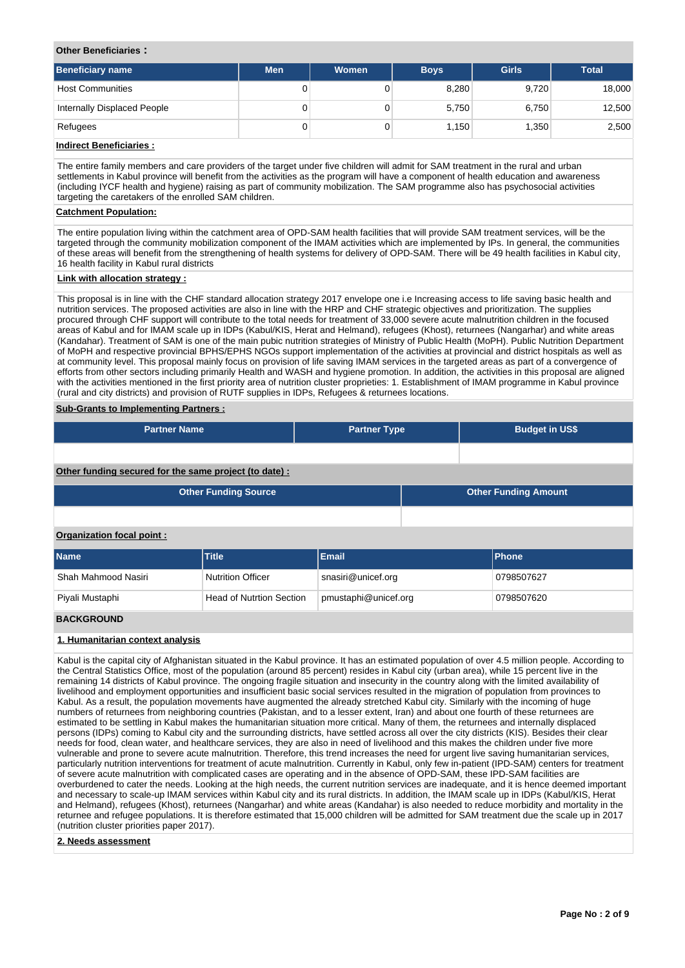### **Other Beneficiaries :**

| Beneficiary name            | <b>Men</b> | Women | <b>Boys</b> | <b>Girls</b> | <b>Total</b> |
|-----------------------------|------------|-------|-------------|--------------|--------------|
| <b>Host Communities</b>     | 0          |       | 8,280       | 9,720        | 18,000       |
| Internally Displaced People | 0          |       | 5,750       | 6,750        | 12,500       |
| Refugees                    | 0          |       | 1.150       | 1,350        | 2,500        |

## **Indirect Beneficiaries :**

The entire family members and care providers of the target under five children will admit for SAM treatment in the rural and urban settlements in Kabul province will benefit from the activities as the program will have a component of health education and awareness (including IYCF health and hygiene) raising as part of community mobilization. The SAM programme also has psychosocial activities targeting the caretakers of the enrolled SAM children.

#### **Catchment Population:**

The entire population living within the catchment area of OPD-SAM health facilities that will provide SAM treatment services, will be the targeted through the community mobilization component of the IMAM activities which are implemented by IPs. In general, the communities of these areas will benefit from the strengthening of health systems for delivery of OPD-SAM. There will be 49 health facilities in Kabul city, 16 health facility in Kabul rural districts

### **Link with allocation strategy :**

This proposal is in line with the CHF standard allocation strategy 2017 envelope one i.e Increasing access to life saving basic health and nutrition services. The proposed activities are also in line with the HRP and CHF strategic objectives and prioritization. The supplies procured through CHF support will contribute to the total needs for treatment of 33,000 severe acute malnutrition children in the focused areas of Kabul and for IMAM scale up in IDPs (Kabul/KIS, Herat and Helmand), refugees (Khost), returnees (Nangarhar) and white areas (Kandahar). Treatment of SAM is one of the main pubic nutrition strategies of Ministry of Public Health (MoPH). Public Nutrition Department of MoPH and respective provincial BPHS/EPHS NGOs support implementation of the activities at provincial and district hospitals as well as at community level. This proposal mainly focus on provision of life saving IMAM services in the targeted areas as part of a convergence of efforts from other sectors including primarily Health and WASH and hygiene promotion. In addition, the activities in this proposal are aligned with the activities mentioned in the first priority area of nutrition cluster proprieties: 1. Establishment of IMAM programme in Kabul province (rural and city districts) and provision of RUTF supplies in IDPs, Refugees & returnees locations.

### **Sub-Grants to Implementing Partners :**

| <b>Partner Name</b>                                   | <b>Partner Type</b> | <b>Budget in US\$</b>       |  |
|-------------------------------------------------------|---------------------|-----------------------------|--|
|                                                       |                     |                             |  |
| Other funding secured for the same project (to date): |                     |                             |  |
| <b>Other Funding Source</b>                           |                     | <b>Other Funding Amount</b> |  |
|                                                       |                     |                             |  |

### **Organization focal point :**

| <b>Name</b>         | <b>Title</b>                    | Email                  | <b>IPhone</b> |
|---------------------|---------------------------------|------------------------|---------------|
| Shah Mahmood Nasiri | Nutrition Officer               | snasiri@unicef.org     | 0798507627    |
| Piyali Mustaphi     | <b>Head of Nutrtion Section</b> | pmustaphi@unicef.org ] | 0798507620    |

### **BACKGROUND**

### **1. Humanitarian context analysis**

Kabul is the capital city of Afghanistan situated in the Kabul province. It has an estimated population of over 4.5 million people. According to the Central Statistics Office, most of the population (around 85 percent) resides in Kabul city (urban area), while 15 percent live in the remaining 14 districts of Kabul province. The ongoing fragile situation and insecurity in the country along with the limited availability of livelihood and employment opportunities and insufficient basic social services resulted in the migration of population from provinces to Kabul. As a result, the population movements have augmented the already stretched Kabul city. Similarly with the incoming of huge numbers of returnees from neighboring countries (Pakistan, and to a lesser extent, Iran) and about one fourth of these returnees are estimated to be settling in Kabul makes the humanitarian situation more critical. Many of them, the returnees and internally displaced persons (IDPs) coming to Kabul city and the surrounding districts, have settled across all over the city districts (KIS). Besides their clear needs for food, clean water, and healthcare services, they are also in need of livelihood and this makes the children under five more vulnerable and prone to severe acute malnutrition. Therefore, this trend increases the need for urgent live saving humanitarian services, particularly nutrition interventions for treatment of acute malnutrition. Currently in Kabul, only few in-patient (IPD-SAM) centers for treatment of severe acute malnutrition with complicated cases are operating and in the absence of OPD-SAM, these IPD-SAM facilities are overburdened to cater the needs. Looking at the high needs, the current nutrition services are inadequate, and it is hence deemed important and necessary to scale-up IMAM services within Kabul city and its rural districts. In addition, the IMAM scale up in IDPs (Kabul/KIS, Herat and Helmand), refugees (Khost), returnees (Nangarhar) and white areas (Kandahar) is also needed to reduce morbidity and mortality in the returnee and refugee populations. It is therefore estimated that 15,000 children will be admitted for SAM treatment due the scale up in 2017 (nutrition cluster priorities paper 2017).

#### **2. Needs assessment**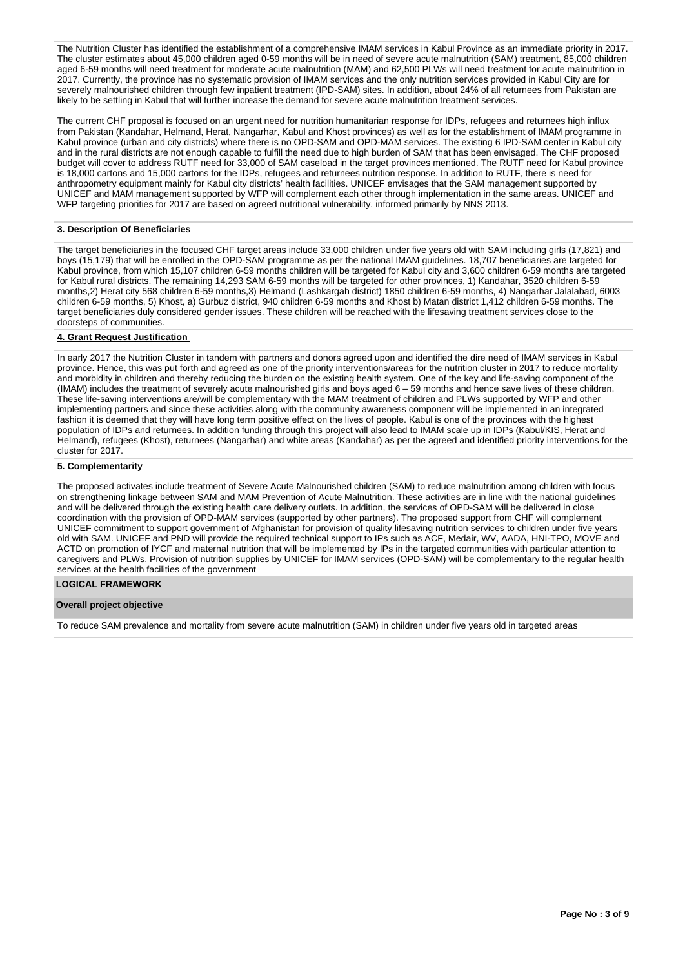The Nutrition Cluster has identified the establishment of a comprehensive IMAM services in Kabul Province as an immediate priority in 2017. The cluster estimates about 45,000 children aged 0-59 months will be in need of severe acute malnutrition (SAM) treatment, 85,000 children aged 6-59 months will need treatment for moderate acute malnutrition (MAM) and 62,500 PLWs will need treatment for acute malnutrition in 2017. Currently, the province has no systematic provision of IMAM services and the only nutrition services provided in Kabul City are for severely malnourished children through few inpatient treatment (IPD-SAM) sites. In addition, about 24% of all returnees from Pakistan are likely to be settling in Kabul that will further increase the demand for severe acute malnutrition treatment services.

The current CHF proposal is focused on an urgent need for nutrition humanitarian response for IDPs, refugees and returnees high influx from Pakistan (Kandahar, Helmand, Herat, Nangarhar, Kabul and Khost provinces) as well as for the establishment of IMAM programme in Kabul province (urban and city districts) where there is no OPD-SAM and OPD-MAM services. The existing 6 IPD-SAM center in Kabul city and in the rural districts are not enough capable to fulfill the need due to high burden of SAM that has been envisaged. The CHF proposed budget will cover to address RUTF need for 33,000 of SAM caseload in the target provinces mentioned. The RUTF need for Kabul province is 18,000 cartons and 15,000 cartons for the IDPs, refugees and returnees nutrition response. In addition to RUTF, there is need for anthropometry equipment mainly for Kabul city districts' health facilities. UNICEF envisages that the SAM management supported by UNICEF and MAM management supported by WFP will complement each other through implementation in the same areas. UNICEF and WFP targeting priorities for 2017 are based on agreed nutritional vulnerability, informed primarily by NNS 2013.

### **3. Description Of Beneficiaries**

The target beneficiaries in the focused CHF target areas include 33,000 children under five years old with SAM including girls (17,821) and boys (15,179) that will be enrolled in the OPD-SAM programme as per the national IMAM guidelines. 18,707 beneficiaries are targeted for Kabul province, from which 15,107 children 6-59 months children will be targeted for Kabul city and 3,600 children 6-59 months are targeted for Kabul rural districts. The remaining 14,293 SAM 6-59 months will be targeted for other provinces, 1) Kandahar, 3520 children 6-59 months,2) Herat city 568 children 6-59 months,3) Helmand (Lashkargah district) 1850 children 6-59 months, 4) Nangarhar Jalalabad, 6003 children 6-59 months, 5) Khost, a) Gurbuz district, 940 children 6-59 months and Khost b) Matan district 1,412 children 6-59 months. The target beneficiaries duly considered gender issues. These children will be reached with the lifesaving treatment services close to the doorsteps of communities.

### **4. Grant Request Justification**

In early 2017 the Nutrition Cluster in tandem with partners and donors agreed upon and identified the dire need of IMAM services in Kabul province. Hence, this was put forth and agreed as one of the priority interventions/areas for the nutrition cluster in 2017 to reduce mortality and morbidity in children and thereby reducing the burden on the existing health system. One of the key and life-saving component of the (IMAM) includes the treatment of severely acute malnourished girls and boys aged 6 – 59 months and hence save lives of these children. These life-saving interventions are/will be complementary with the MAM treatment of children and PLWs supported by WFP and other implementing partners and since these activities along with the community awareness component will be implemented in an integrated fashion it is deemed that they will have long term positive effect on the lives of people. Kabul is one of the provinces with the highest population of IDPs and returnees. In addition funding through this project will also lead to IMAM scale up in IDPs (Kabul/KIS, Herat and Helmand), refugees (Khost), returnees (Nangarhar) and white areas (Kandahar) as per the agreed and identified priority interventions for the cluster for 2017.

### **5. Complementarity**

The proposed activates include treatment of Severe Acute Malnourished children (SAM) to reduce malnutrition among children with focus on strengthening linkage between SAM and MAM Prevention of Acute Malnutrition. These activities are in line with the national guidelines and will be delivered through the existing health care delivery outlets. In addition, the services of OPD-SAM will be delivered in close coordination with the provision of OPD-MAM services (supported by other partners). The proposed support from CHF will complement UNICEF commitment to support government of Afghanistan for provision of quality lifesaving nutrition services to children under five years old with SAM. UNICEF and PND will provide the required technical support to IPs such as ACF, Medair, WV, AADA, HNI-TPO, MOVE and ACTD on promotion of IYCF and maternal nutrition that will be implemented by IPs in the targeted communities with particular attention to caregivers and PLWs. Provision of nutrition supplies by UNICEF for IMAM services (OPD-SAM) will be complementary to the regular health services at the health facilities of the government

### **LOGICAL FRAMEWORK**

### **Overall project objective**

To reduce SAM prevalence and mortality from severe acute malnutrition (SAM) in children under five years old in targeted areas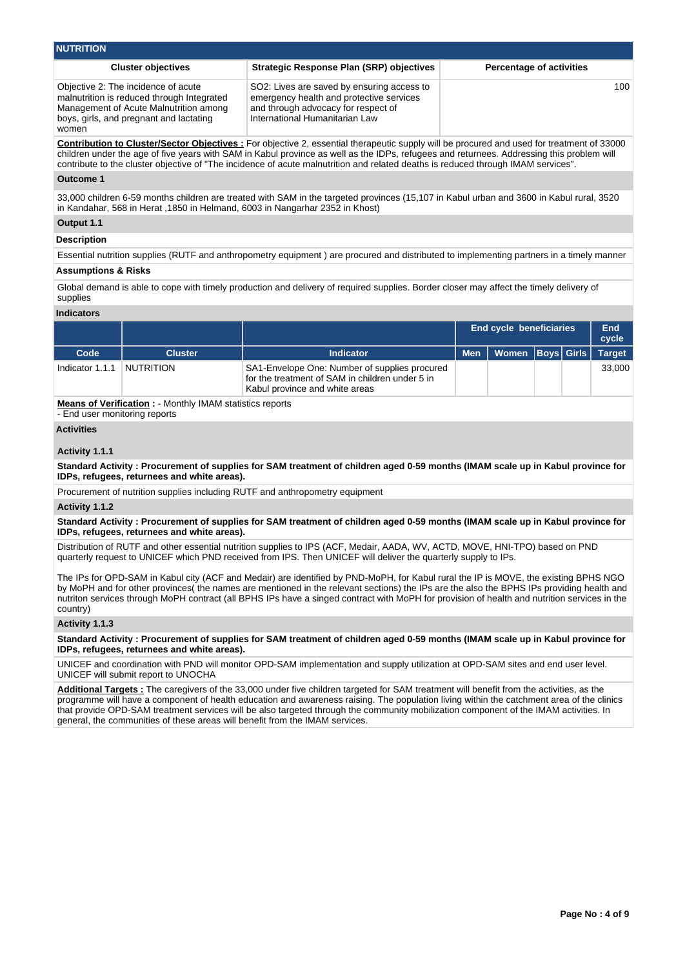| <b>NUTRITION</b>                                                                                                                                                                |                                                                                                                                                                 |                                 |  |  |  |  |  |  |
|---------------------------------------------------------------------------------------------------------------------------------------------------------------------------------|-----------------------------------------------------------------------------------------------------------------------------------------------------------------|---------------------------------|--|--|--|--|--|--|
| <b>Cluster objectives</b>                                                                                                                                                       | <b>Strategic Response Plan (SRP) objectives</b>                                                                                                                 | <b>Percentage of activities</b> |  |  |  |  |  |  |
| Objective 2: The incidence of acute<br>malnutrition is reduced through Integrated<br>Management of Acute Malnutrition among<br>boys, girls, and pregnant and lactating<br>women | SO2: Lives are saved by ensuring access to<br>emergency health and protective services<br>and through advocacy for respect of<br>International Humanitarian Law | 100                             |  |  |  |  |  |  |
|                                                                                                                                                                                 | Contribution to Cluster/Sector Objectives : For objective 2, essential therapeutic supply will be procured and used for treatment of 33000                      |                                 |  |  |  |  |  |  |

**Contribution to Cluster/Sector Objectives :** For objective 2, essential therapeutic supply will be procured and used for treatment of 33000 children under the age of five years with SAM in Kabul province as well as the IDPs, refugees and returnees. Addressing this problem will contribute to the cluster objective of "The incidence of acute malnutrition and related deaths is reduced through IMAM services".

### **Outcome 1**

33,000 children 6-59 months children are treated with SAM in the targeted provinces (15,107 in Kabul urban and 3600 in Kabul rural, 3520 in Kandahar, 568 in Herat ,1850 in Helmand, 6003 in Nangarhar 2352 in Khost)

### **Output 1.1**

### **Description**

Essential nutrition supplies (RUTF and anthropometry equipment ) are procured and distributed to implementing partners in a timely manner

# **Assumptions & Risks**

Global demand is able to cope with timely production and delivery of required supplies. Border closer may affect the timely delivery of supplies

#### **Indicators**

|                 |                |                                                                                                                                    |            | <b>End cycle beneficiaries</b> |  | End<br>cycle  |
|-----------------|----------------|------------------------------------------------------------------------------------------------------------------------------------|------------|--------------------------------|--|---------------|
| Code            | <b>Cluster</b> | <b>Indicator</b>                                                                                                                   | <b>Men</b> | Women   Boys   Girls           |  | <b>Target</b> |
| Indicator 1.1.1 | NUTRITION      | SA1-Envelope One: Number of supplies procured<br>for the treatment of SAM in children under 5 in<br>Kabul province and white areas |            |                                |  | 33,000        |

**Means of Verification :** - Monthly IMAM statistics reports

- End user monitoring reports

### **Activities**

### **Activity 1.1.1**

**Standard Activity : Procurement of supplies for SAM treatment of children aged 0-59 months (IMAM scale up in Kabul province for IDPs, refugees, returnees and white areas).**

Procurement of nutrition supplies including RUTF and anthropometry equipment

### **Activity 1.1.2**

**Standard Activity : Procurement of supplies for SAM treatment of children aged 0-59 months (IMAM scale up in Kabul province for IDPs, refugees, returnees and white areas).**

Distribution of RUTF and other essential nutrition supplies to IPS (ACF, Medair, AADA, WV, ACTD, MOVE, HNI-TPO) based on PND quarterly request to UNICEF which PND received from IPS. Then UNICEF will deliver the quarterly supply to IPs.

The IPs for OPD-SAM in Kabul city (ACF and Medair) are identified by PND-MoPH, for Kabul rural the IP is MOVE, the existing BPHS NGO by MoPH and for other provinces( the names are mentioned in the relevant sections) the IPs are the also the BPHS IPs providing health and nutriton services through MoPH contract (all BPHS IPs have a singed contract with MoPH for provision of health and nutrition services in the country)

### **Activity 1.1.3**

**Standard Activity : Procurement of supplies for SAM treatment of children aged 0-59 months (IMAM scale up in Kabul province for IDPs, refugees, returnees and white areas).**

UNICEF and coordination with PND will monitor OPD-SAM implementation and supply utilization at OPD-SAM sites and end user level. UNICEF will submit report to UNOCHA

**Additional Targets :** The caregivers of the 33,000 under five children targeted for SAM treatment will benefit from the activities, as the programme will have a component of health education and awareness raising. The population living within the catchment area of the clinics that provide OPD-SAM treatment services will be also targeted through the community mobilization component of the IMAM activities. In general, the communities of these areas will benefit from the IMAM services.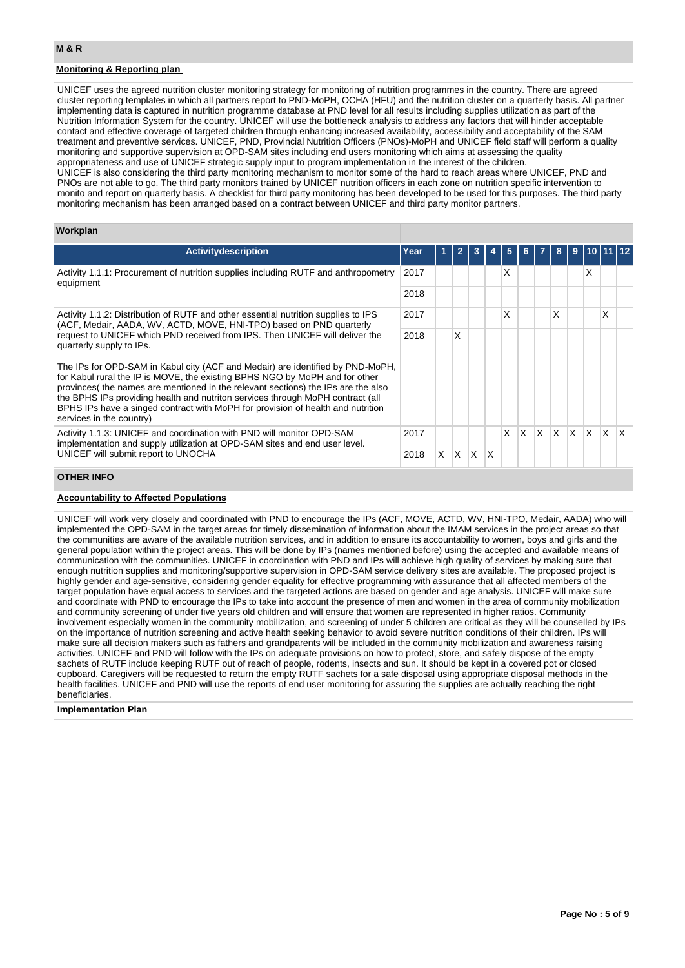## **Monitoring & Reporting plan**

UNICEF uses the agreed nutrition cluster monitoring strategy for monitoring of nutrition programmes in the country. There are agreed cluster reporting templates in which all partners report to PND-MoPH, OCHA (HFU) and the nutrition cluster on a quarterly basis. All partner implementing data is captured in nutrition programme database at PND level for all results including supplies utilization as part of the Nutrition Information System for the country. UNICEF will use the bottleneck analysis to address any factors that will hinder acceptable contact and effective coverage of targeted children through enhancing increased availability, accessibility and acceptability of the SAM treatment and preventive services. UNICEF, PND, Provincial Nutrition Officers (PNOs)-MoPH and UNICEF field staff will perform a quality monitoring and supportive supervision at OPD-SAM sites including end users monitoring which aims at assessing the quality appropriateness and use of UNICEF strategic supply input to program implementation in the interest of the children.

UNICEF is also considering the third party monitoring mechanism to monitor some of the hard to reach areas where UNICEF, PND and PNOs are not able to go. The third party monitors trained by UNICEF nutrition officers in each zone on nutrition specific intervention to monito and report on quarterly basis. A checklist for third party monitoring has been developed to be used for this purposes. The third party monitoring mechanism has been arranged based on a contract between UNICEF and third party monitor partners.

### **Workplan**

| <b>Activity description</b>                                                                                                                                                                                                                                                                                                                                                                                                                         | Year |    |   |     |   | 5 |   |     |              | 9        |              |              |              |
|-----------------------------------------------------------------------------------------------------------------------------------------------------------------------------------------------------------------------------------------------------------------------------------------------------------------------------------------------------------------------------------------------------------------------------------------------------|------|----|---|-----|---|---|---|-----|--------------|----------|--------------|--------------|--------------|
| Activity 1.1.1: Procurement of nutrition supplies including RUTF and anthropometry<br>equipment                                                                                                                                                                                                                                                                                                                                                     | 2017 |    |   |     |   | X |   |     |              |          | X            |              |              |
|                                                                                                                                                                                                                                                                                                                                                                                                                                                     | 2018 |    |   |     |   |   |   |     |              |          |              |              |              |
| Activity 1.1.2: Distribution of RUTF and other essential nutrition supplies to IPS<br>2017<br>(ACF, Medair, AADA, WV, ACTD, MOVE, HNI-TPO) based on PND quarterly                                                                                                                                                                                                                                                                                   |      |    |   |     |   | Χ |   |     | X            |          |              | X            |              |
| request to UNICEF which PND received from IPS. Then UNICEF will deliver the<br>quarterly supply to IPs.                                                                                                                                                                                                                                                                                                                                             |      |    | X |     |   |   |   |     |              |          |              |              |              |
| The IPs for OPD-SAM in Kabul city (ACF and Medair) are identified by PND-MoPH,<br>for Kabul rural the IP is MOVE, the existing BPHS NGO by MoPH and for other<br>provinces( the names are mentioned in the relevant sections) the IPs are the also<br>the BPHS IPs providing health and nutriton services through MoPH contract (all<br>BPHS IPs have a singed contract with MoPH for provision of health and nutrition<br>services in the country) |      |    |   |     |   |   |   |     |              |          |              |              |              |
| Activity 1.1.3: UNICEF and coordination with PND will monitor OPD-SAM<br>implementation and supply utilization at OPD-SAM sites and end user level.<br>UNICEF will submit report to UNOCHA                                                                                                                                                                                                                                                          |      |    |   |     |   | X | X | ΙX. | $\mathsf{X}$ | <b>X</b> | $\mathsf{X}$ | $\mathbf{X}$ | $\mathsf{X}$ |
|                                                                                                                                                                                                                                                                                                                                                                                                                                                     |      | X. | X | ΙX. | X |   |   |     |              |          |              |              |              |
|                                                                                                                                                                                                                                                                                                                                                                                                                                                     |      |    |   |     |   |   |   |     |              |          |              |              |              |

#### **OTHER INFO**

### **Accountability to Affected Populations**

UNICEF will work very closely and coordinated with PND to encourage the IPs (ACF, MOVE, ACTD, WV, HNI-TPO, Medair, AADA) who will implemented the OPD-SAM in the target areas for timely dissemination of information about the IMAM services in the project areas so that the communities are aware of the available nutrition services, and in addition to ensure its accountability to women, boys and girls and the general population within the project areas. This will be done by IPs (names mentioned before) using the accepted and available means of communication with the communities. UNICEF in coordination with PND and IPs will achieve high quality of services by making sure that enough nutrition supplies and monitoring/supportive supervision in OPD-SAM service delivery sites are available. The proposed project is highly gender and age-sensitive, considering gender equality for effective programming with assurance that all affected members of the target population have equal access to services and the targeted actions are based on gender and age analysis. UNICEF will make sure and coordinate with PND to encourage the IPs to take into account the presence of men and women in the area of community mobilization and community screening of under five years old children and will ensure that women are represented in higher ratios. Community involvement especially women in the community mobilization, and screening of under 5 children are critical as they will be counselled by IPs on the importance of nutrition screening and active health seeking behavior to avoid severe nutrition conditions of their children. IPs will make sure all decision makers such as fathers and grandparents will be included in the community mobilization and awareness raising activities. UNICEF and PND will follow with the IPs on adequate provisions on how to protect, store, and safely dispose of the empty sachets of RUTF include keeping RUTF out of reach of people, rodents, insects and sun. It should be kept in a covered pot or closed cupboard. Caregivers will be requested to return the empty RUTF sachets for a safe disposal using appropriate disposal methods in the health facilities. UNICEF and PND will use the reports of end user monitoring for assuring the supplies are actually reaching the right beneficiaries.

### **Implementation Plan**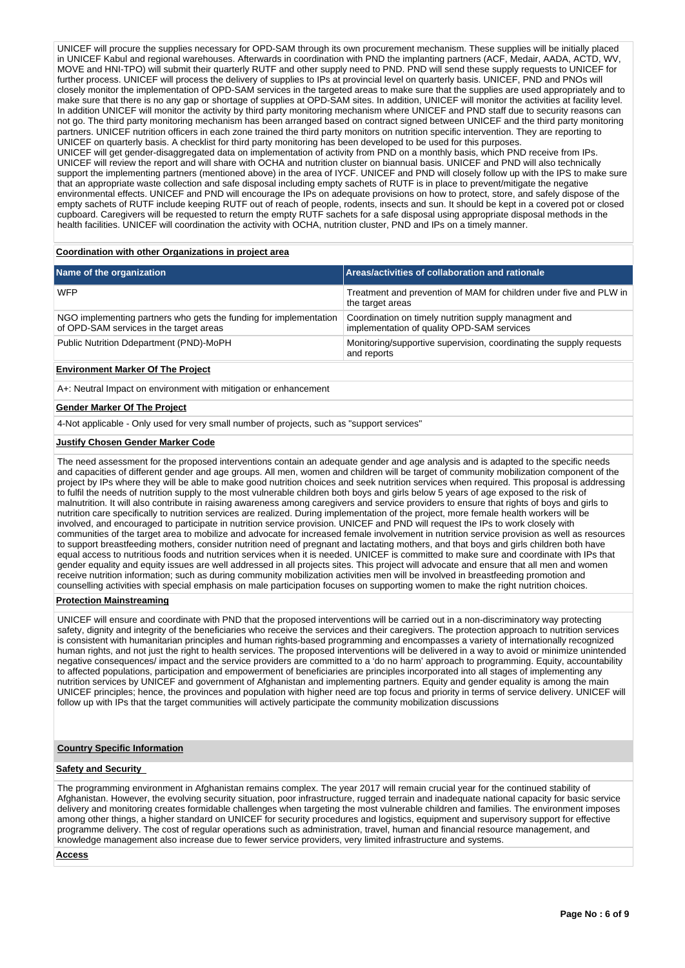UNICEF will procure the supplies necessary for OPD-SAM through its own procurement mechanism. These supplies will be initially placed in UNICEF Kabul and regional warehouses. Afterwards in coordination with PND the implanting partners (ACF, Medair, AADA, ACTD, WV, MOVE and HNI-TPO) will submit their quarterly RUTF and other supply need to PND. PND will send these supply requests to UNICEF for further process. UNICEF will process the delivery of supplies to IPs at provincial level on quarterly basis. UNICEF, PND and PNOs will closely monitor the implementation of OPD-SAM services in the targeted areas to make sure that the supplies are used appropriately and to make sure that there is no any gap or shortage of supplies at OPD-SAM sites. In addition, UNICEF will monitor the activities at facility level. In addition UNICEF will monitor the activity by third party monitoring mechanism where UNICEF and PND staff due to security reasons can not go. The third party monitoring mechanism has been arranged based on contract signed between UNICEF and the third party monitoring partners. UNICEF nutrition officers in each zone trained the third party monitors on nutrition specific intervention. They are reporting to UNICEF on quarterly basis. A checklist for third party monitoring has been developed to be used for this purposes. UNICEF will get gender-disaggregated data on implementation of activity from PND on a monthly basis, which PND receive from IPs. UNICEF will review the report and will share with OCHA and nutrition cluster on biannual basis. UNICEF and PND will also technically support the implementing partners (mentioned above) in the area of IYCF. UNICEF and PND will closely follow up with the IPS to make sure

that an appropriate waste collection and safe disposal including empty sachets of RUTF is in place to prevent/mitigate the negative environmental effects. UNICEF and PND will encourage the IPs on adequate provisions on how to protect, store, and safely dispose of the empty sachets of RUTF include keeping RUTF out of reach of people, rodents, insects and sun. It should be kept in a covered pot or closed cupboard. Caregivers will be requested to return the empty RUTF sachets for a safe disposal using appropriate disposal methods in the health facilities. UNICEF will coordination the activity with OCHA, nutrition cluster, PND and IPs on a timely manner.

### **Coordination with other Organizations in project area**

| Name of the organization                                                                                     | Areas/activities of collaboration and rationale                                                     |
|--------------------------------------------------------------------------------------------------------------|-----------------------------------------------------------------------------------------------------|
| <b>WFP</b>                                                                                                   | Treatment and prevention of MAM for children under five and PLW in<br>the target areas              |
| NGO implementing partners who gets the funding for implementation<br>of OPD-SAM services in the target areas | Coordination on timely nutrition supply managment and<br>implementation of quality OPD-SAM services |
| Public Nutrition Ddepartment (PND)-MoPH                                                                      | Monitoring/supportive supervision, coordinating the supply requests<br>and reports                  |
| Fordernment Medical Of The Business                                                                          |                                                                                                     |

#### **Environment Marker Of The Project**

A+: Neutral Impact on environment with mitigation or enhancement

### **Gender Marker Of The Project**

4-Not applicable - Only used for very small number of projects, such as "support services"

#### **Justify Chosen Gender Marker Code**

The need assessment for the proposed interventions contain an adequate gender and age analysis and is adapted to the specific needs and capacities of different gender and age groups. All men, women and children will be target of community mobilization component of the project by IPs where they will be able to make good nutrition choices and seek nutrition services when required. This proposal is addressing to fulfil the needs of nutrition supply to the most vulnerable children both boys and girls below 5 years of age exposed to the risk of malnutrition. It will also contribute in raising awareness among caregivers and service providers to ensure that rights of boys and girls to nutrition care specifically to nutrition services are realized. During implementation of the project, more female health workers will be involved, and encouraged to participate in nutrition service provision. UNICEF and PND will request the IPs to work closely with communities of the target area to mobilize and advocate for increased female involvement in nutrition service provision as well as resources to support breastfeeding mothers, consider nutrition need of pregnant and lactating mothers, and that boys and girls children both have equal access to nutritious foods and nutrition services when it is needed. UNICEF is committed to make sure and coordinate with IPs that gender equality and equity issues are well addressed in all projects sites. This project will advocate and ensure that all men and women receive nutrition information; such as during community mobilization activities men will be involved in breastfeeding promotion and counselling activities with special emphasis on male participation focuses on supporting women to make the right nutrition choices.

#### **Protection Mainstreaming**

UNICEF will ensure and coordinate with PND that the proposed interventions will be carried out in a non-discriminatory way protecting safety, dignity and integrity of the beneficiaries who receive the services and their caregivers. The protection approach to nutrition services is consistent with humanitarian principles and human rights-based programming and encompasses a variety of internationally recognized human rights, and not just the right to health services. The proposed interventions will be delivered in a way to avoid or minimize unintended negative consequences/ impact and the service providers are committed to a 'do no harm' approach to programming. Equity, accountability to affected populations, participation and empowerment of beneficiaries are principles incorporated into all stages of implementing any nutrition services by UNICEF and government of Afghanistan and implementing partners. Equity and gender equality is among the main UNICEF principles; hence, the provinces and population with higher need are top focus and priority in terms of service delivery. UNICEF will follow up with IPs that the target communities will actively participate the community mobilization discussions

### **Country Specific Information**

### **Safety and Security**

The programming environment in Afghanistan remains complex. The year 2017 will remain crucial year for the continued stability of Afghanistan. However, the evolving security situation, poor infrastructure, rugged terrain and inadequate national capacity for basic service delivery and monitoring creates formidable challenges when targeting the most vulnerable children and families. The environment imposes among other things, a higher standard on UNICEF for security procedures and logistics, equipment and supervisory support for effective programme delivery. The cost of regular operations such as administration, travel, human and financial resource management, and knowledge management also increase due to fewer service providers, very limited infrastructure and systems.

#### **Access**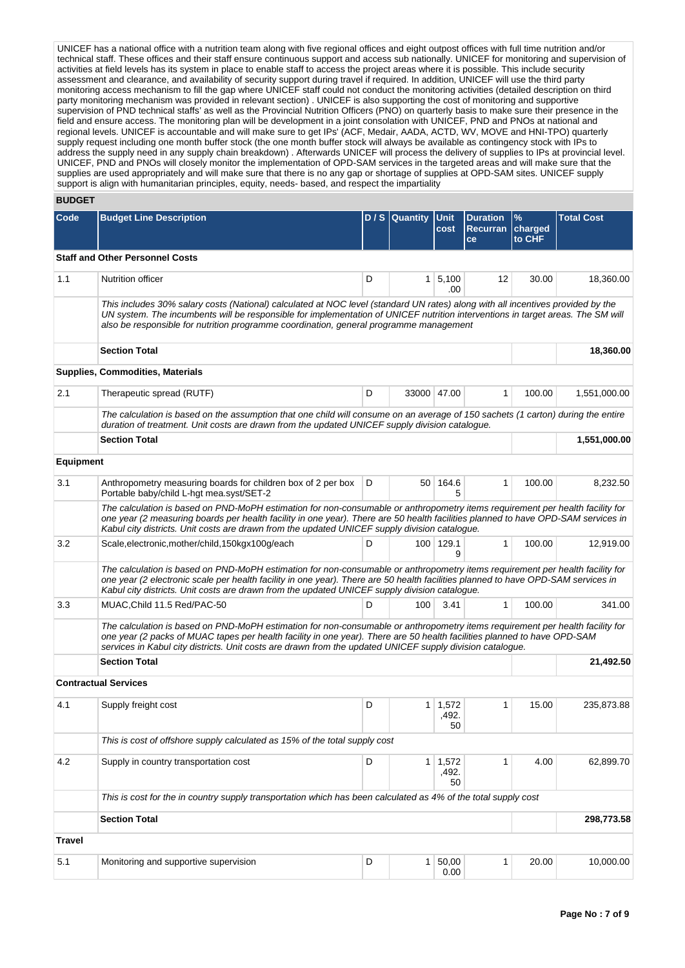UNICEF has a national office with a nutrition team along with five regional offices and eight outpost offices with full time nutrition and/or technical staff. These offices and their staff ensure continuous support and access sub nationally. UNICEF for monitoring and supervision of activities at field levels has its system in place to enable staff to access the project areas where it is possible. This include security assessment and clearance, and availability of security support during travel if required. In addition, UNICEF will use the third party monitoring access mechanism to fill the gap where UNICEF staff could not conduct the monitoring activities (detailed description on third party monitoring mechanism was provided in relevant section) . UNICEF is also supporting the cost of monitoring and supportive supervision of PND technical staffs' as well as the Provincial Nutrition Officers (PNO) on quarterly basis to make sure their presence in the field and ensure access. The monitoring plan will be development in a joint consolation with UNICEF, PND and PNOs at national and regional levels. UNICEF is accountable and will make sure to get IPs' (ACF, Medair, AADA, ACTD, WV, MOVE and HNI-TPO) quarterly supply request including one month buffer stock (the one month buffer stock will always be available as contingency stock with IPs to address the supply need in any supply chain breakdown) . Afterwards UNICEF will process the delivery of supplies to IPs at provincial level. UNICEF, PND and PNOs will closely monitor the implementation of OPD-SAM services in the targeted areas and will make sure that the supplies are used appropriately and will make sure that there is no any gap or shortage of supplies at OPD-SAM sites. UNICEF supply support is align with humanitarian principles, equity, needs- based, and respect the impartiality

# **BUDGET**

| ᄓᄖᄖ              |                                                                                                                                                                                                                                                                                                                                                                        |                  |                     |                                                 |                           |                   |              |
|------------------|------------------------------------------------------------------------------------------------------------------------------------------------------------------------------------------------------------------------------------------------------------------------------------------------------------------------------------------------------------------------|------------------|---------------------|-------------------------------------------------|---------------------------|-------------------|--------------|
| Code             | <b>Budget Line Description</b>                                                                                                                                                                                                                                                                                                                                         | $D / S$ Quantity | <b>Unit</b><br>cost | <b>Duration</b><br><b>Recurran</b><br><b>ce</b> | $\%$<br>charged<br>to CHF | <b>Total Cost</b> |              |
|                  | <b>Staff and Other Personnel Costs</b>                                                                                                                                                                                                                                                                                                                                 |                  |                     |                                                 |                           |                   |              |
| 1.1              | Nutrition officer                                                                                                                                                                                                                                                                                                                                                      | D                |                     | $1 \mid 5,100$<br>.00                           | 12                        | 30.00             | 18,360.00    |
|                  | This includes 30% salary costs (National) calculated at NOC level (standard UN rates) along with all incentives provided by the<br>UN system. The incumbents will be responsible for implementation of UNICEF nutrition interventions in target areas. The SM will<br>also be responsible for nutrition programme coordination, general programme management           |                  |                     |                                                 |                           |                   |              |
|                  | <b>Section Total</b>                                                                                                                                                                                                                                                                                                                                                   |                  |                     |                                                 |                           |                   | 18,360.00    |
|                  | <b>Supplies, Commodities, Materials</b>                                                                                                                                                                                                                                                                                                                                |                  |                     |                                                 |                           |                   |              |
| 2.1              | Therapeutic spread (RUTF)                                                                                                                                                                                                                                                                                                                                              | D                |                     | 33000 47.00                                     | $\mathbf{1}$              | 100.00            | 1,551,000.00 |
|                  | The calculation is based on the assumption that one child will consume on an average of 150 sachets (1 carton) during the entire<br>duration of treatment. Unit costs are drawn from the updated UNICEF supply division catalogue.                                                                                                                                     |                  |                     |                                                 |                           |                   |              |
|                  | <b>Section Total</b>                                                                                                                                                                                                                                                                                                                                                   |                  |                     |                                                 |                           |                   | 1,551,000.00 |
| <b>Equipment</b> |                                                                                                                                                                                                                                                                                                                                                                        |                  |                     |                                                 |                           |                   |              |
| 3.1              | Anthropometry measuring boards for children box of 2 per box<br>Portable baby/child L-hgt mea.syst/SET-2                                                                                                                                                                                                                                                               | D                |                     | 50 164.6<br>5                                   | $\mathbf{1}$              | 100.00            | 8,232.50     |
|                  | The calculation is based on PND-MoPH estimation for non-consumable or anthropometry items requirement per health facility for<br>one year (2 measuring boards per health facility in one year). There are 50 health facilities planned to have OPD-SAM services in<br>Kabul city districts. Unit costs are drawn from the updated UNICEF supply division catalogue.    |                  |                     |                                                 |                           |                   |              |
| 3.2              | Scale, electronic, mother/child, 150kgx100g/each                                                                                                                                                                                                                                                                                                                       | D                |                     | 100 129.1<br>9                                  | $\mathbf{1}$              | 100.00            | 12,919.00    |
|                  | The calculation is based on PND-MoPH estimation for non-consumable or anthropometry items requirement per health facility for<br>one year (2 electronic scale per health facility in one year). There are 50 health facilities planned to have OPD-SAM services in<br>Kabul city districts. Unit costs are drawn from the updated UNICEF supply division catalogue.    |                  |                     |                                                 |                           |                   |              |
| 3.3              | MUAC, Child 11.5 Red/PAC-50                                                                                                                                                                                                                                                                                                                                            | D                | 100                 | 3.41                                            | 1                         | 100.00            | 341.00       |
|                  | The calculation is based on PND-MoPH estimation for non-consumable or anthropometry items requirement per health facility for<br>one year (2 packs of MUAC tapes per health facility in one year). There are 50 health facilities planned to have OPD-SAM<br>services in Kabul city districts. Unit costs are drawn from the updated UNICEF supply division cataloque. |                  |                     |                                                 |                           |                   |              |
|                  | <b>Section Total</b>                                                                                                                                                                                                                                                                                                                                                   |                  |                     |                                                 |                           |                   | 21,492.50    |
|                  | <b>Contractual Services</b>                                                                                                                                                                                                                                                                                                                                            |                  |                     |                                                 |                           |                   |              |
| 4.1              | Supply freight cost                                                                                                                                                                                                                                                                                                                                                    | D                | 1                   | 1,572<br>,492<br>50                             | 1                         | 15.00             | 235,873.88   |
|                  | This is cost of offshore supply calculated as 15% of the total supply cost                                                                                                                                                                                                                                                                                             |                  |                     |                                                 |                           |                   |              |
| 4.2              | Supply in country transportation cost                                                                                                                                                                                                                                                                                                                                  | D                | 1 <sup>1</sup>      | 1,572<br>,492.<br>50                            | 1                         | 4.00              | 62,899.70    |
|                  | This is cost for the in country supply transportation which has been calculated as 4% of the total supply cost                                                                                                                                                                                                                                                         |                  |                     |                                                 |                           |                   |              |
|                  | <b>Section Total</b>                                                                                                                                                                                                                                                                                                                                                   |                  |                     |                                                 |                           |                   | 298,773.58   |
| <b>Travel</b>    |                                                                                                                                                                                                                                                                                                                                                                        |                  |                     |                                                 |                           |                   |              |
| 5.1              | Monitoring and supportive supervision                                                                                                                                                                                                                                                                                                                                  | D                | $\mathbf{1}$        | 50,00<br>0.00                                   | $\mathbf{1}$              | 20.00             | 10,000.00    |
|                  |                                                                                                                                                                                                                                                                                                                                                                        |                  |                     |                                                 |                           |                   |              |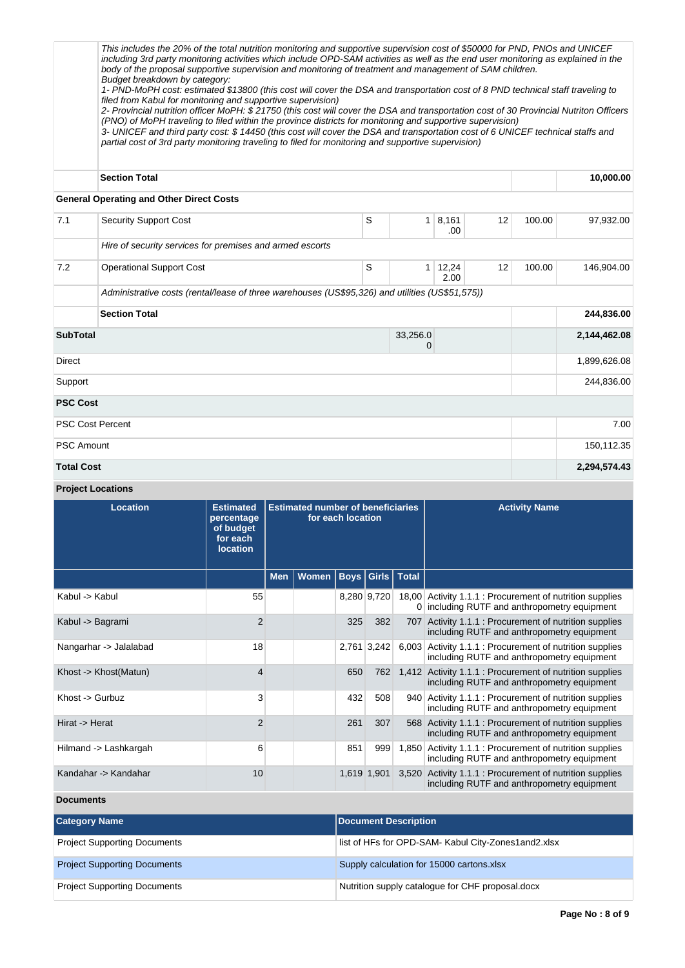This includes the 20% of the total nutrition monitoring and supportive supervision cost of \$50000 for PND, PNOs and UNICEF including 3rd party monitoring activities which include OPD-SAM activities as well as the end user monitoring as explained in the body of the proposal supportive supervision and monitoring of treatment and management of SAM children. Budget breakdown by category: 1- PND-MoPH cost: estimated \$13800 (this cost will cover the DSA and transportation cost of 8 PND technical staff traveling to filed from Kabul for monitoring and supportive supervision) 2- Provincial nutrition officer MoPH: \$ 21750 (this cost will cover the DSA and transportation cost of 30 Provincial Nutriton Officers (PNO) of MoPH traveling to filed within the province districts for monitoring and supportive supervision) 3- UNICEF and third party cost: \$ 14450 (this cost will cover the DSA and transportation cost of 6 UNICEF technical staffs and partial cost of 3rd party monitoring traveling to filed for monitoring and supportive supervision) **Section Total 10,000.00 General Operating and Other Direct Costs** 7.1 Security Support Cost 5 1 8,161 .00 12 100.00 97,932.00 Hire of security services for premises and armed escorts 7.2 Operational Support Cost S 1 12,24 2.00 12 100.00 146,904.00 Administrative costs (rental/lease of three warehouses (US\$95,326) and utilities (US\$51,575)) **Section Total 244,836.00 SubTotal** 33,256.0 0 **2,144,462.08** Direct 1,899,626.08 Support 244,836.00 **PSC Cost** PSC Cost Percent 2.000 and 2.000 and 2.000 and 2.000 and 2.000 and 2.000 and 2.000 and 2.000 and 2.000 and 2.00 PSC Amount 150,112.35

- **Total Cost 2,294,574.43**
- **Project Locations**

| <b>Location</b>        | <b>Estimated</b><br>percentage<br>of budget<br>for each<br><b>location</b> | <b>Estimated number of beneficiaries</b><br>for each location |       |             |             |                | <b>Activity Name</b>                                                                                   |
|------------------------|----------------------------------------------------------------------------|---------------------------------------------------------------|-------|-------------|-------------|----------------|--------------------------------------------------------------------------------------------------------|
|                        |                                                                            | <b>Men</b>                                                    | Women | <b>Boys</b> | Girls       | <b>Total</b>   |                                                                                                        |
| Kabul -> Kabul         | 55                                                                         |                                                               |       |             | 8,280 9,720 | $\overline{0}$ | 18,00 Activity 1.1.1 : Procurement of nutrition supplies<br>including RUTF and anthropometry equipment |
| Kabul -> Bagrami       | $\overline{2}$                                                             |                                                               |       | 325         | 382         | 707            | Activity 1.1.1 : Procurement of nutrition supplies<br>including RUTF and anthropometry equipment       |
| Nangarhar -> Jalalabad | 18                                                                         |                                                               |       |             | 2,761 3,242 |                | 6,003 Activity 1.1.1 : Procurement of nutrition supplies<br>including RUTF and anthropometry equipment |
| Khost -> Khost(Matun)  | $\overline{4}$                                                             |                                                               |       | 650         | 762         |                | 1,412 Activity 1.1.1 : Procurement of nutrition supplies<br>including RUTF and anthropometry equipment |
| Khost -> Gurbuz        | 3                                                                          |                                                               |       | 432         | 508         | 940            | Activity 1.1.1 : Procurement of nutrition supplies<br>including RUTF and anthropometry equipment       |
| Hirat -> Herat         | $\overline{2}$                                                             |                                                               |       | 261         | 307         | 568            | Activity 1.1.1 : Procurement of nutrition supplies<br>including RUTF and anthropometry equipment       |
| Hilmand -> Lashkargah  | 6                                                                          |                                                               |       | 851         | 999         | 1,850          | Activity 1.1.1 : Procurement of nutrition supplies<br>including RUTF and anthropometry equipment       |
| Kandahar -> Kandahar   | 10                                                                         |                                                               |       |             | 1,619 1,901 |                | 3,520 Activity 1.1.1 : Procurement of nutrition supplies<br>including RUTF and anthropometry equipment |

**Documents**

| <b>Category Name</b>                | <b>Document Description</b>                         |
|-------------------------------------|-----------------------------------------------------|
| <b>Project Supporting Documents</b> | list of HFs for OPD-SAM- Kabul City-Zones1and2.xlsx |
| <b>Project Supporting Documents</b> | Supply calculation for 15000 cartons.xlsx           |
| <b>Project Supporting Documents</b> | Nutrition supply catalogue for CHF proposal.docx    |